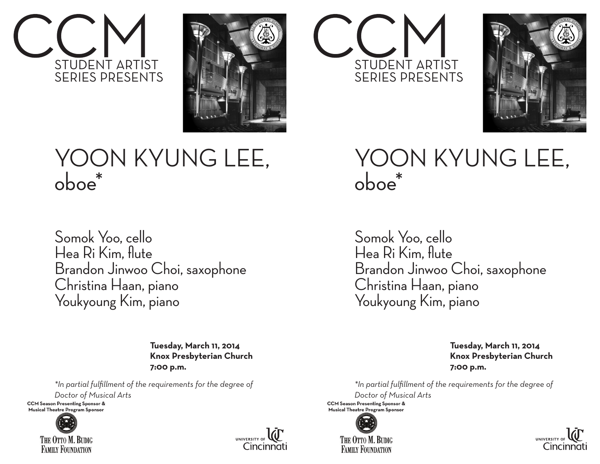



## YOON KYUNG LEE, oboe\*

Somok Yoo, cello Hea Ri Kim, flute Brandon Jinwoo Choi, saxophone Christina Haan, piano Youkyoung Kim, piano

> **Tuesday, March 11, 2014 Knox Presbyterian Church 7:00 p.m.**

*\*In partial fulfillment of the requirements for the degree of Doctor of Musical Arts* 

**CCM Season Presenting Sponsor &** Musical Theatre Program Sponsor